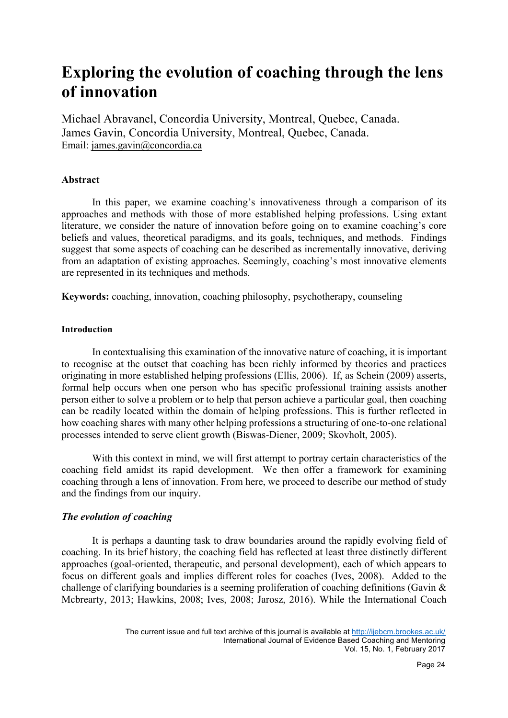# **Exploring the evolution of coaching through the lens of innovation**

Michael Abravanel, Concordia University, Montreal, Quebec, Canada. James Gavin, Concordia University, Montreal, Quebec, Canada. Email: james.gavin@concordia.ca

# **Abstract**

In this paper, we examine coaching's innovativeness through a comparison of its approaches and methods with those of more established helping professions. Using extant literature, we consider the nature of innovation before going on to examine coaching's core beliefs and values, theoretical paradigms, and its goals, techniques, and methods. Findings suggest that some aspects of coaching can be described as incrementally innovative, deriving from an adaptation of existing approaches. Seemingly, coaching's most innovative elements are represented in its techniques and methods.

**Keywords:** coaching, innovation, coaching philosophy, psychotherapy, counseling

# **Introduction**

In contextualising this examination of the innovative nature of coaching, it is important to recognise at the outset that coaching has been richly informed by theories and practices originating in more established helping professions (Ellis, 2006). If, as Schein (2009) asserts, formal help occurs when one person who has specific professional training assists another person either to solve a problem or to help that person achieve a particular goal, then coaching can be readily located within the domain of helping professions. This is further reflected in how coaching shares with many other helping professions a structuring of one-to-one relational processes intended to serve client growth (Biswas-Diener, 2009; Skovholt, 2005).

With this context in mind, we will first attempt to portray certain characteristics of the coaching field amidst its rapid development. We then offer a framework for examining coaching through a lens of innovation. From here, we proceed to describe our method of study and the findings from our inquiry.

# *The evolution of coaching*

It is perhaps a daunting task to draw boundaries around the rapidly evolving field of coaching. In its brief history, the coaching field has reflected at least three distinctly different approaches (goal-oriented, therapeutic, and personal development), each of which appears to focus on different goals and implies different roles for coaches (Ives, 2008). Added to the challenge of clarifying boundaries is a seeming proliferation of coaching definitions (Gavin & Mcbrearty, 2013; Hawkins, 2008; Ives, 2008; Jarosz, 2016). While the International Coach

The current issue and full text archive of this journal is available at http://ijebcm.brookes.ac.uk/ International Journal of Evidence Based Coaching and Mentoring Vol. 15, No. 1, February 2017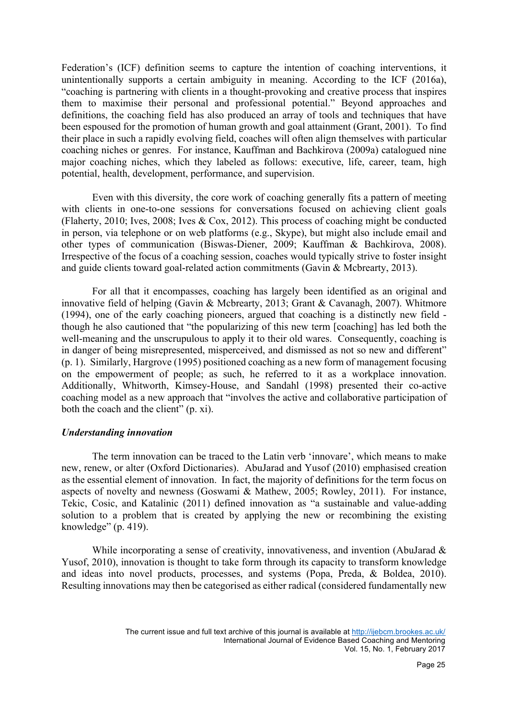Federation's (ICF) definition seems to capture the intention of coaching interventions, it unintentionally supports a certain ambiguity in meaning. According to the ICF (2016a), "coaching is partnering with clients in a thought-provoking and creative process that inspires them to maximise their personal and professional potential." Beyond approaches and definitions, the coaching field has also produced an array of tools and techniques that have been espoused for the promotion of human growth and goal attainment (Grant, 2001). To find their place in such a rapidly evolving field, coaches will often align themselves with particular coaching niches or genres. For instance, Kauffman and Bachkirova (2009a) catalogued nine major coaching niches, which they labeled as follows: executive, life, career, team, high potential, health, development, performance, and supervision.

Even with this diversity, the core work of coaching generally fits a pattern of meeting with clients in one-to-one sessions for conversations focused on achieving client goals (Flaherty, 2010; Ives, 2008; Ives & Cox, 2012). This process of coaching might be conducted in person, via telephone or on web platforms (e.g., Skype), but might also include email and other types of communication (Biswas-Diener, 2009; Kauffman & Bachkirova, 2008). Irrespective of the focus of a coaching session, coaches would typically strive to foster insight and guide clients toward goal-related action commitments (Gavin & Mcbrearty, 2013).

For all that it encompasses, coaching has largely been identified as an original and innovative field of helping (Gavin & Mcbrearty, 2013; Grant & Cavanagh, 2007). Whitmore (1994), one of the early coaching pioneers, argued that coaching is a distinctly new field though he also cautioned that "the popularizing of this new term [coaching] has led both the well-meaning and the unscrupulous to apply it to their old wares. Consequently, coaching is in danger of being misrepresented, misperceived, and dismissed as not so new and different" (p. 1). Similarly, Hargrove (1995) positioned coaching as a new form of management focusing on the empowerment of people; as such, he referred to it as a workplace innovation. Additionally, Whitworth, Kimsey-House, and Sandahl (1998) presented their co-active coaching model as a new approach that "involves the active and collaborative participation of both the coach and the client" (p. xi).

#### *Understanding innovation*

The term innovation can be traced to the Latin verb 'innovare', which means to make new, renew, or alter (Oxford Dictionaries). AbuJarad and Yusof (2010) emphasised creation as the essential element of innovation. In fact, the majority of definitions for the term focus on aspects of novelty and newness (Goswami & Mathew, 2005; Rowley, 2011). For instance, Tekic, Cosic, and Katalinic (2011) defined innovation as "a sustainable and value-adding solution to a problem that is created by applying the new or recombining the existing knowledge" (p. 419).

While incorporating a sense of creativity, innovativeness, and invention (AbuJarad & Yusof, 2010), innovation is thought to take form through its capacity to transform knowledge and ideas into novel products, processes, and systems (Popa, Preda, & Boldea, 2010). Resulting innovations may then be categorised as either radical (considered fundamentally new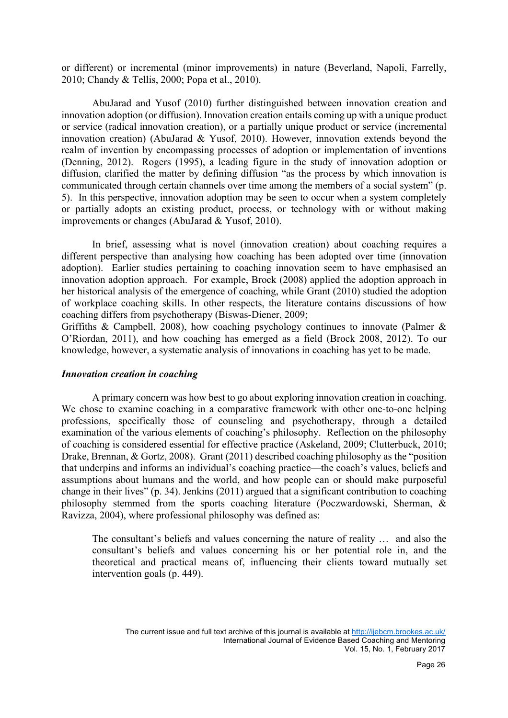or different) or incremental (minor improvements) in nature (Beverland, Napoli, Farrelly, 2010; Chandy & Tellis, 2000; Popa et al., 2010).

AbuJarad and Yusof (2010) further distinguished between innovation creation and innovation adoption (or diffusion). Innovation creation entails coming up with a unique product or service (radical innovation creation), or a partially unique product or service (incremental innovation creation) (AbuJarad & Yusof, 2010). However, innovation extends beyond the realm of invention by encompassing processes of adoption or implementation of inventions (Denning, 2012). Rogers (1995), a leading figure in the study of innovation adoption or diffusion, clarified the matter by defining diffusion "as the process by which innovation is communicated through certain channels over time among the members of a social system" (p. 5). In this perspective, innovation adoption may be seen to occur when a system completely or partially adopts an existing product, process, or technology with or without making improvements or changes (AbuJarad & Yusof, 2010).

In brief, assessing what is novel (innovation creation) about coaching requires a different perspective than analysing how coaching has been adopted over time (innovation adoption). Earlier studies pertaining to coaching innovation seem to have emphasised an innovation adoption approach. For example, Brock (2008) applied the adoption approach in her historical analysis of the emergence of coaching, while Grant (2010) studied the adoption of workplace coaching skills. In other respects, the literature contains discussions of how coaching differs from psychotherapy (Biswas-Diener, 2009;

Griffiths & Campbell, 2008), how coaching psychology continues to innovate (Palmer  $\&$ O'Riordan, 2011), and how coaching has emerged as a field (Brock 2008, 2012). To our knowledge, however, a systematic analysis of innovations in coaching has yet to be made.

#### *Innovation creation in coaching*

A primary concern was how best to go about exploring innovation creation in coaching. We chose to examine coaching in a comparative framework with other one-to-one helping professions, specifically those of counseling and psychotherapy, through a detailed examination of the various elements of coaching's philosophy. Reflection on the philosophy of coaching is considered essential for effective practice (Askeland, 2009; Clutterbuck, 2010; Drake, Brennan, & Gortz, 2008). Grant (2011) described coaching philosophy as the "position that underpins and informs an individual's coaching practice—the coach's values, beliefs and assumptions about humans and the world, and how people can or should make purposeful change in their lives" (p. 34). Jenkins (2011) argued that a significant contribution to coaching philosophy stemmed from the sports coaching literature (Poczwardowski, Sherman, & Ravizza, 2004), where professional philosophy was defined as:

The consultant's beliefs and values concerning the nature of reality … and also the consultant's beliefs and values concerning his or her potential role in, and the theoretical and practical means of, influencing their clients toward mutually set intervention goals (p. 449).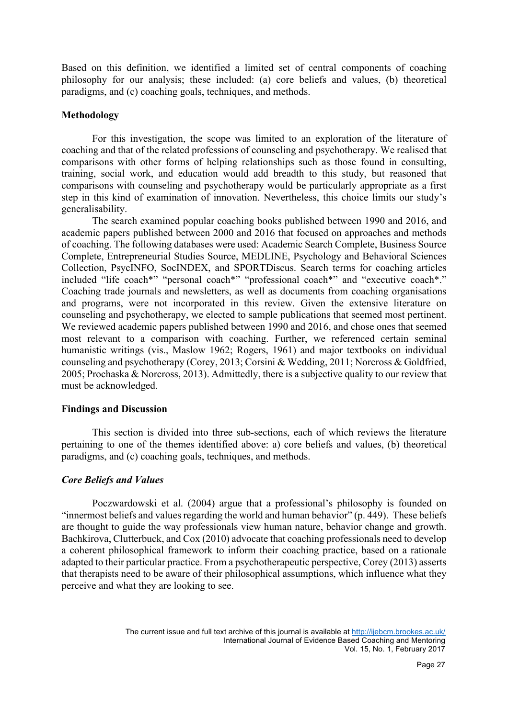Based on this definition, we identified a limited set of central components of coaching philosophy for our analysis; these included: (a) core beliefs and values, (b) theoretical paradigms, and (c) coaching goals, techniques, and methods.

## **Methodology**

For this investigation, the scope was limited to an exploration of the literature of coaching and that of the related professions of counseling and psychotherapy. We realised that comparisons with other forms of helping relationships such as those found in consulting, training, social work, and education would add breadth to this study, but reasoned that comparisons with counseling and psychotherapy would be particularly appropriate as a first step in this kind of examination of innovation. Nevertheless, this choice limits our study's generalisability.

The search examined popular coaching books published between 1990 and 2016, and academic papers published between 2000 and 2016 that focused on approaches and methods of coaching. The following databases were used: Academic Search Complete, Business Source Complete, Entrepreneurial Studies Source, MEDLINE, Psychology and Behavioral Sciences Collection, PsycINFO, SocINDEX, and SPORTDiscus. Search terms for coaching articles included "life coach\*" "personal coach\*" "professional coach\*" and "executive coach\*." Coaching trade journals and newsletters, as well as documents from coaching organisations and programs, were not incorporated in this review. Given the extensive literature on counseling and psychotherapy, we elected to sample publications that seemed most pertinent. We reviewed academic papers published between 1990 and 2016, and chose ones that seemed most relevant to a comparison with coaching. Further, we referenced certain seminal humanistic writings (vis., Maslow 1962; Rogers, 1961) and major textbooks on individual counseling and psychotherapy (Corey, 2013; Corsini & Wedding, 2011; Norcross & Goldfried, 2005; Prochaska & Norcross, 2013). Admittedly, there is a subjective quality to our review that must be acknowledged.

#### **Findings and Discussion**

This section is divided into three sub-sections, each of which reviews the literature pertaining to one of the themes identified above: a) core beliefs and values, (b) theoretical paradigms, and (c) coaching goals, techniques, and methods.

# *Core Beliefs and Values*

Poczwardowski et al. (2004) argue that a professional's philosophy is founded on "innermost beliefs and values regarding the world and human behavior" (p. 449). These beliefs are thought to guide the way professionals view human nature, behavior change and growth. Bachkirova, Clutterbuck, and Cox (2010) advocate that coaching professionals need to develop a coherent philosophical framework to inform their coaching practice, based on a rationale adapted to their particular practice. From a psychotherapeutic perspective, Corey (2013) asserts that therapists need to be aware of their philosophical assumptions, which influence what they perceive and what they are looking to see.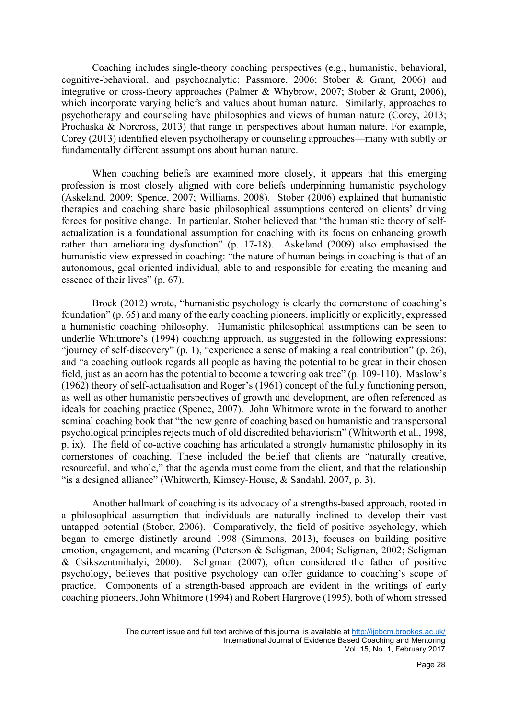Coaching includes single-theory coaching perspectives (e.g., humanistic, behavioral, cognitive-behavioral, and psychoanalytic; Passmore, 2006; Stober & Grant, 2006) and integrative or cross-theory approaches (Palmer & Whybrow, 2007; Stober & Grant, 2006), which incorporate varying beliefs and values about human nature. Similarly, approaches to psychotherapy and counseling have philosophies and views of human nature (Corey, 2013; Prochaska & Norcross, 2013) that range in perspectives about human nature. For example, Corey (2013) identified eleven psychotherapy or counseling approaches—many with subtly or fundamentally different assumptions about human nature.

When coaching beliefs are examined more closely, it appears that this emerging profession is most closely aligned with core beliefs underpinning humanistic psychology (Askeland, 2009; Spence, 2007; Williams, 2008). Stober (2006) explained that humanistic therapies and coaching share basic philosophical assumptions centered on clients' driving forces for positive change. In particular, Stober believed that "the humanistic theory of selfactualization is a foundational assumption for coaching with its focus on enhancing growth rather than ameliorating dysfunction" (p. 17-18). Askeland (2009) also emphasised the humanistic view expressed in coaching: "the nature of human beings in coaching is that of an autonomous, goal oriented individual, able to and responsible for creating the meaning and essence of their lives" (p. 67).

Brock (2012) wrote, "humanistic psychology is clearly the cornerstone of coaching's foundation" (p. 65) and many of the early coaching pioneers, implicitly or explicitly, expressed a humanistic coaching philosophy. Humanistic philosophical assumptions can be seen to underlie Whitmore's (1994) coaching approach, as suggested in the following expressions: "journey of self-discovery" (p. 1), "experience a sense of making a real contribution" (p. 26), and "a coaching outlook regards all people as having the potential to be great in their chosen field, just as an acorn has the potential to become a towering oak tree" (p. 109-110). Maslow's (1962) theory of self-actualisation and Roger's (1961) concept of the fully functioning person, as well as other humanistic perspectives of growth and development, are often referenced as ideals for coaching practice (Spence, 2007). John Whitmore wrote in the forward to another seminal coaching book that "the new genre of coaching based on humanistic and transpersonal psychological principles rejects much of old discredited behaviorism" (Whitworth et al., 1998, p. ix). The field of co-active coaching has articulated a strongly humanistic philosophy in its cornerstones of coaching. These included the belief that clients are "naturally creative, resourceful, and whole," that the agenda must come from the client, and that the relationship "is a designed alliance" (Whitworth, Kimsey-House, & Sandahl, 2007, p. 3).

Another hallmark of coaching is its advocacy of a strengths-based approach, rooted in a philosophical assumption that individuals are naturally inclined to develop their vast untapped potential (Stober, 2006). Comparatively, the field of positive psychology, which began to emerge distinctly around 1998 (Simmons, 2013), focuses on building positive emotion, engagement, and meaning (Peterson & Seligman, 2004; Seligman, 2002; Seligman & Csikszentmihalyi, 2000). Seligman (2007), often considered the father of positive psychology, believes that positive psychology can offer guidance to coaching's scope of practice. Components of a strength-based approach are evident in the writings of early coaching pioneers, John Whitmore (1994) and Robert Hargrove (1995), both of whom stressed

The current issue and full text archive of this journal is available at http://ijebcm.brookes.ac.uk/ International Journal of Evidence Based Coaching and Mentoring Vol. 15, No. 1, February 2017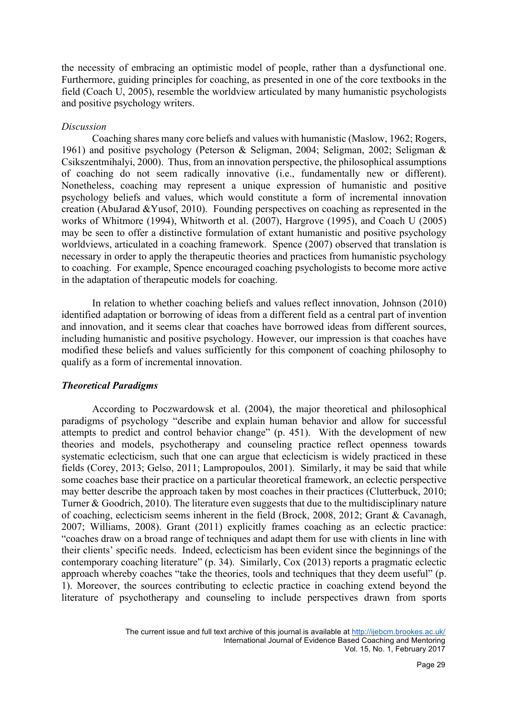the necessity of embracing an optimistic model of people, rather than a dysfunctional one. Furthermore, guiding principles for coaching, as presented in one of the core textbooks in the field (Coach U, 2005), resemble the worldview articulated by many humanistic psychologists and positive psychology writers.

## *Discussion*

Coaching shares many core beliefs and values with humanistic (Maslow, 1962; Rogers, 1961) and positive psychology (Peterson & Seligman, 2004; Seligman, 2002; Seligman & Csikszentmihalyi, 2000). Thus, from an innovation perspective, the philosophical assumptions of coaching do not seem radically innovative (i.e., fundamentally new or different). Nonetheless, coaching may represent a unique expression of humanistic and positive psychology beliefs and values, which would constitute a form of incremental innovation creation (AbuJarad &Yusof, 2010). Founding perspectives on coaching as represented in the works of Whitmore (1994), Whitworth et al. (2007), Hargrove (1995), and Coach U (2005) may be seen to offer a distinctive formulation of extant humanistic and positive psychology worldviews, articulated in a coaching framework. Spence (2007) observed that translation is necessary in order to apply the therapeutic theories and practices from humanistic psychology to coaching. For example, Spence encouraged coaching psychologists to become more active in the adaptation of therapeutic models for coaching.

In relation to whether coaching beliefs and values reflect innovation, Johnson (2010) identified adaptation or borrowing of ideas from a different field as a central part of invention and innovation, and it seems clear that coaches have borrowed ideas from different sources, including humanistic and positive psychology. However, our impression is that coaches have modified these beliefs and values sufficiently for this component of coaching philosophy to qualify as a form of incremental innovation.

# *Theoretical Paradigms*

According to Poczwardowsk et al. (2004), the major theoretical and philosophical paradigms of psychology "describe and explain human behavior and allow for successful attempts to predict and control behavior change" (p. 451). With the development of new theories and models, psychotherapy and counseling practice reflect openness towards systematic eclecticism, such that one can argue that eclecticism is widely practiced in these fields (Corey, 2013; Gelso, 2011; Lampropoulos, 2001). Similarly, it may be said that while some coaches base their practice on a particular theoretical framework, an eclectic perspective may better describe the approach taken by most coaches in their practices (Clutterbuck, 2010; Turner & Goodrich, 2010). The literature even suggests that due to the multidisciplinary nature of coaching, eclecticism seems inherent in the field (Brock, 2008, 2012; Grant & Cavanagh, 2007; Williams, 2008). Grant (2011) explicitly frames coaching as an eclectic practice: "coaches draw on a broad range of techniques and adapt them for use with clients in line with their clients' specific needs. Indeed, eclecticism has been evident since the beginnings of the contemporary coaching literature" (p. 34). Similarly, Cox (2013) reports a pragmatic eclectic approach whereby coaches "take the theories, tools and techniques that they deem useful" (p. 1). Moreover, the sources contributing to eclectic practice in coaching extend beyond the literature of psychotherapy and counseling to include perspectives drawn from sports

The current issue and full text archive of this journal is available at http://ijebcm.brookes.ac.uk/ International Journal of Evidence Based Coaching and Mentoring Vol. 15, No. 1, February 2017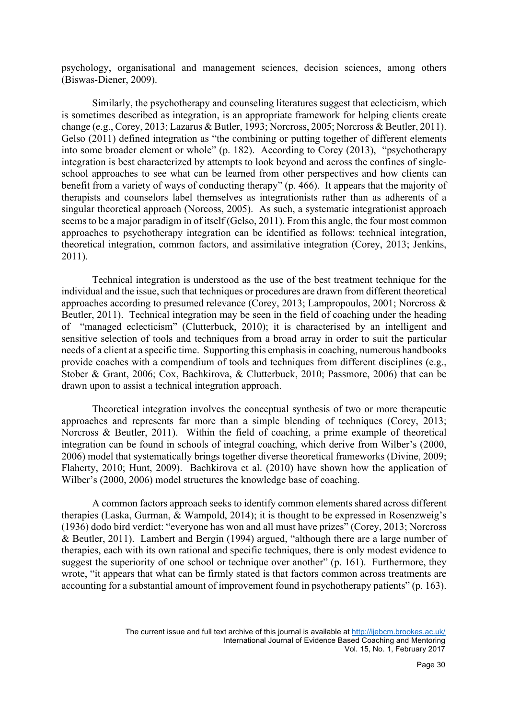psychology, organisational and management sciences, decision sciences, among others (Biswas-Diener, 2009).

Similarly, the psychotherapy and counseling literatures suggest that eclecticism, which is sometimes described as integration, is an appropriate framework for helping clients create change (e.g., Corey, 2013; Lazarus & Butler, 1993; Norcross, 2005; Norcross & Beutler, 2011). Gelso (2011) defined integration as "the combining or putting together of different elements into some broader element or whole" (p. 182). According to Corey (2013), "psychotherapy integration is best characterized by attempts to look beyond and across the confines of singleschool approaches to see what can be learned from other perspectives and how clients can benefit from a variety of ways of conducting therapy" (p. 466). It appears that the majority of therapists and counselors label themselves as integrationists rather than as adherents of a singular theoretical approach (Norcoss, 2005). As such, a systematic integrationist approach seems to be a major paradigm in of itself (Gelso, 2011). From this angle, the four most common approaches to psychotherapy integration can be identified as follows: technical integration, theoretical integration, common factors, and assimilative integration (Corey, 2013; Jenkins, 2011).

Technical integration is understood as the use of the best treatment technique for the individual and the issue, such that techniques or procedures are drawn from different theoretical approaches according to presumed relevance (Corey, 2013; Lampropoulos, 2001; Norcross & Beutler, 2011). Technical integration may be seen in the field of coaching under the heading of "managed eclecticism" (Clutterbuck, 2010); it is characterised by an intelligent and sensitive selection of tools and techniques from a broad array in order to suit the particular needs of a client at a specific time. Supporting this emphasis in coaching, numerous handbooks provide coaches with a compendium of tools and techniques from different disciplines (e.g., Stober & Grant, 2006; Cox, Bachkirova, & Clutterbuck, 2010; Passmore, 2006) that can be drawn upon to assist a technical integration approach.

Theoretical integration involves the conceptual synthesis of two or more therapeutic approaches and represents far more than a simple blending of techniques (Corey, 2013; Norcross & Beutler, 2011). Within the field of coaching, a prime example of theoretical integration can be found in schools of integral coaching, which derive from Wilber's (2000, 2006) model that systematically brings together diverse theoretical frameworks (Divine, 2009; Flaherty, 2010; Hunt, 2009). Bachkirova et al. (2010) have shown how the application of Wilber's (2000, 2006) model structures the knowledge base of coaching.

A common factors approach seeks to identify common elements shared across different therapies (Laska, Gurman, & Wampold, 2014); it is thought to be expressed in Rosenzweig's (1936) dodo bird verdict: "everyone has won and all must have prizes" (Corey, 2013; Norcross & Beutler, 2011). Lambert and Bergin (1994) argued, "although there are a large number of therapies, each with its own rational and specific techniques, there is only modest evidence to suggest the superiority of one school or technique over another" (p. 161). Furthermore, they wrote, "it appears that what can be firmly stated is that factors common across treatments are accounting for a substantial amount of improvement found in psychotherapy patients" (p. 163).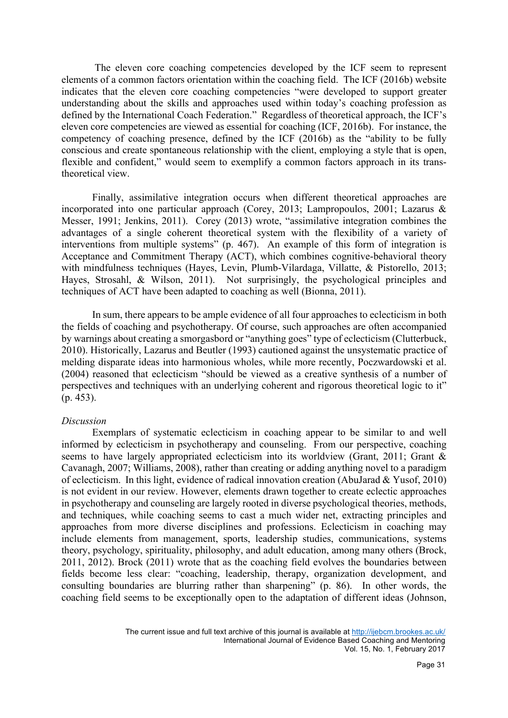The eleven core coaching competencies developed by the ICF seem to represent elements of a common factors orientation within the coaching field. The ICF (2016b) website indicates that the eleven core coaching competencies "were developed to support greater understanding about the skills and approaches used within today's coaching profession as defined by the International Coach Federation." Regardless of theoretical approach, the ICF's eleven core competencies are viewed as essential for coaching (ICF, 2016b). For instance, the competency of coaching presence, defined by the ICF (2016b) as the "ability to be fully conscious and create spontaneous relationship with the client, employing a style that is open, flexible and confident," would seem to exemplify a common factors approach in its transtheoretical view.

Finally, assimilative integration occurs when different theoretical approaches are incorporated into one particular approach (Corey, 2013; Lampropoulos, 2001; Lazarus & Messer, 1991; Jenkins, 2011). Corey (2013) wrote, "assimilative integration combines the advantages of a single coherent theoretical system with the flexibility of a variety of interventions from multiple systems" (p. 467). An example of this form of integration is Acceptance and Commitment Therapy (ACT), which combines cognitive-behavioral theory with mindfulness techniques (Hayes, Levin, Plumb-Vilardaga, Villatte, & Pistorello, 2013; Hayes, Strosahl, & Wilson, 2011). Not surprisingly, the psychological principles and techniques of ACT have been adapted to coaching as well (Bionna, 2011).

In sum, there appears to be ample evidence of all four approaches to eclecticism in both the fields of coaching and psychotherapy. Of course, such approaches are often accompanied by warnings about creating a smorgasbord or "anything goes" type of eclecticism (Clutterbuck, 2010). Historically, Lazarus and Beutler (1993) cautioned against the unsystematic practice of melding disparate ideas into harmonious wholes, while more recently, Poczwardowski et al. (2004) reasoned that eclecticism "should be viewed as a creative synthesis of a number of perspectives and techniques with an underlying coherent and rigorous theoretical logic to it" (p. 453).

#### *Discussion*

Exemplars of systematic eclecticism in coaching appear to be similar to and well informed by eclecticism in psychotherapy and counseling. From our perspective, coaching seems to have largely appropriated eclecticism into its worldview (Grant, 2011; Grant & Cavanagh, 2007; Williams, 2008), rather than creating or adding anything novel to a paradigm of eclecticism. In this light, evidence of radical innovation creation (AbuJarad & Yusof, 2010) is not evident in our review. However, elements drawn together to create eclectic approaches in psychotherapy and counseling are largely rooted in diverse psychological theories, methods, and techniques, while coaching seems to cast a much wider net, extracting principles and approaches from more diverse disciplines and professions. Eclecticism in coaching may include elements from management, sports, leadership studies, communications, systems theory, psychology, spirituality, philosophy, and adult education, among many others (Brock, 2011, 2012). Brock (2011) wrote that as the coaching field evolves the boundaries between fields become less clear: "coaching, leadership, therapy, organization development, and consulting boundaries are blurring rather than sharpening" (p. 86). In other words, the coaching field seems to be exceptionally open to the adaptation of different ideas (Johnson,

The current issue and full text archive of this journal is available at http://ijebcm.brookes.ac.uk/ International Journal of Evidence Based Coaching and Mentoring Vol. 15, No. 1, February 2017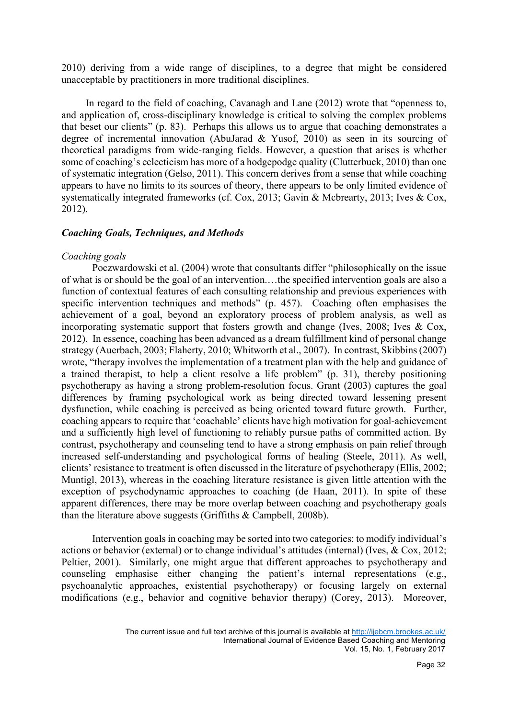2010) deriving from a wide range of disciplines, to a degree that might be considered unacceptable by practitioners in more traditional disciplines.

In regard to the field of coaching, Cavanagh and Lane (2012) wrote that "openness to, and application of, cross-disciplinary knowledge is critical to solving the complex problems that beset our clients" (p. 83). Perhaps this allows us to argue that coaching demonstrates a degree of incremental innovation (AbuJarad & Yusof, 2010) as seen in its sourcing of theoretical paradigms from wide-ranging fields. However, a question that arises is whether some of coaching's eclecticism has more of a hodgepodge quality (Clutterbuck, 2010) than one of systematic integration (Gelso, 2011). This concern derives from a sense that while coaching appears to have no limits to its sources of theory, there appears to be only limited evidence of systematically integrated frameworks (cf. Cox, 2013; Gavin & Mcbrearty, 2013; Ives & Cox, 2012).

## *Coaching Goals, Techniques, and Methods*

## *Coaching goals*

Poczwardowski et al. (2004) wrote that consultants differ "philosophically on the issue of what is or should be the goal of an intervention.…the specified intervention goals are also a function of contextual features of each consulting relationship and previous experiences with specific intervention techniques and methods" (p. 457). Coaching often emphasises the achievement of a goal, beyond an exploratory process of problem analysis, as well as incorporating systematic support that fosters growth and change (Ives, 2008; Ives & Cox, 2012). In essence, coaching has been advanced as a dream fulfillment kind of personal change strategy (Auerbach, 2003; Flaherty, 2010; Whitworth et al., 2007). In contrast, Skibbins (2007) wrote, "therapy involves the implementation of a treatment plan with the help and guidance of a trained therapist, to help a client resolve a life problem" (p. 31), thereby positioning psychotherapy as having a strong problem-resolution focus. Grant (2003) captures the goal differences by framing psychological work as being directed toward lessening present dysfunction, while coaching is perceived as being oriented toward future growth. Further, coaching appears to require that 'coachable' clients have high motivation for goal-achievement and a sufficiently high level of functioning to reliably pursue paths of committed action. By contrast, psychotherapy and counseling tend to have a strong emphasis on pain relief through increased self-understanding and psychological forms of healing (Steele, 2011). As well, clients' resistance to treatment is often discussed in the literature of psychotherapy (Ellis, 2002; Muntigl, 2013), whereas in the coaching literature resistance is given little attention with the exception of psychodynamic approaches to coaching (de Haan, 2011). In spite of these apparent differences, there may be more overlap between coaching and psychotherapy goals than the literature above suggests (Griffiths & Campbell, 2008b).

Intervention goals in coaching may be sorted into two categories: to modify individual's actions or behavior (external) or to change individual's attitudes (internal) (Ives, & Cox, 2012; Peltier, 2001). Similarly, one might argue that different approaches to psychotherapy and counseling emphasise either changing the patient's internal representations (e.g., psychoanalytic approaches, existential psychotherapy) or focusing largely on external modifications (e.g., behavior and cognitive behavior therapy) (Corey, 2013). Moreover,

The current issue and full text archive of this journal is available at http://ijebcm.brookes.ac.uk/ International Journal of Evidence Based Coaching and Mentoring Vol. 15, No. 1, February 2017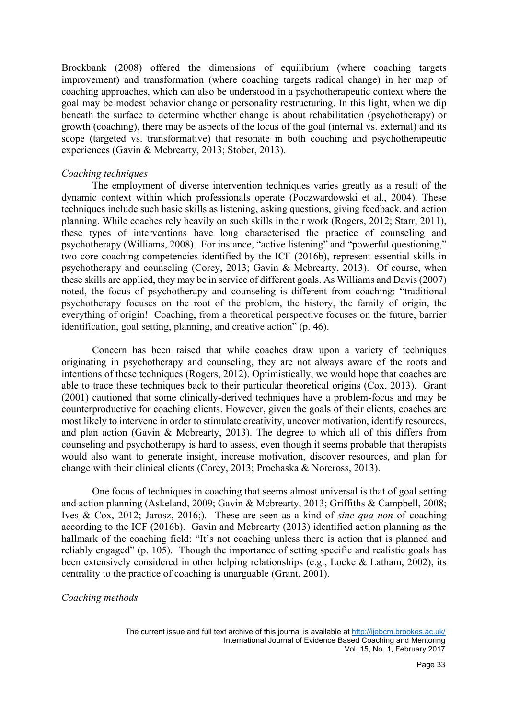Brockbank (2008) offered the dimensions of equilibrium (where coaching targets improvement) and transformation (where coaching targets radical change) in her map of coaching approaches, which can also be understood in a psychotherapeutic context where the goal may be modest behavior change or personality restructuring. In this light, when we dip beneath the surface to determine whether change is about rehabilitation (psychotherapy) or growth (coaching), there may be aspects of the locus of the goal (internal vs. external) and its scope (targeted vs. transformative) that resonate in both coaching and psychotherapeutic experiences (Gavin & Mcbrearty, 2013; Stober, 2013).

#### *Coaching techniques*

The employment of diverse intervention techniques varies greatly as a result of the dynamic context within which professionals operate (Poczwardowski et al., 2004). These techniques include such basic skills as listening, asking questions, giving feedback, and action planning. While coaches rely heavily on such skills in their work (Rogers, 2012; Starr, 2011), these types of interventions have long characterised the practice of counseling and psychotherapy (Williams, 2008). For instance, "active listening" and "powerful questioning," two core coaching competencies identified by the ICF (2016b), represent essential skills in psychotherapy and counseling (Corey, 2013; Gavin & Mcbrearty, 2013). Of course, when these skills are applied, they may be in service of different goals. As Williams and Davis (2007) noted, the focus of psychotherapy and counseling is different from coaching: "traditional psychotherapy focuses on the root of the problem, the history, the family of origin, the everything of origin! Coaching, from a theoretical perspective focuses on the future, barrier identification, goal setting, planning, and creative action" (p. 46).

Concern has been raised that while coaches draw upon a variety of techniques originating in psychotherapy and counseling, they are not always aware of the roots and intentions of these techniques (Rogers, 2012). Optimistically, we would hope that coaches are able to trace these techniques back to their particular theoretical origins (Cox, 2013). Grant (2001) cautioned that some clinically-derived techniques have a problem-focus and may be counterproductive for coaching clients. However, given the goals of their clients, coaches are most likely to intervene in order to stimulate creativity, uncover motivation, identify resources, and plan action (Gavin & Mcbrearty, 2013). The degree to which all of this differs from counseling and psychotherapy is hard to assess, even though it seems probable that therapists would also want to generate insight, increase motivation, discover resources, and plan for change with their clinical clients (Corey, 2013; Prochaska & Norcross, 2013).

One focus of techniques in coaching that seems almost universal is that of goal setting and action planning (Askeland, 2009; Gavin & Mcbrearty, 2013; Griffiths & Campbell, 2008; Ives & Cox, 2012; Jarosz, 2016;). These are seen as a kind of *sine qua non* of coaching according to the ICF (2016b). Gavin and Mcbrearty (2013) identified action planning as the hallmark of the coaching field: "It's not coaching unless there is action that is planned and reliably engaged" (p. 105). Though the importance of setting specific and realistic goals has been extensively considered in other helping relationships (e.g., Locke & Latham, 2002), its centrality to the practice of coaching is unarguable (Grant, 2001).

## *Coaching methods*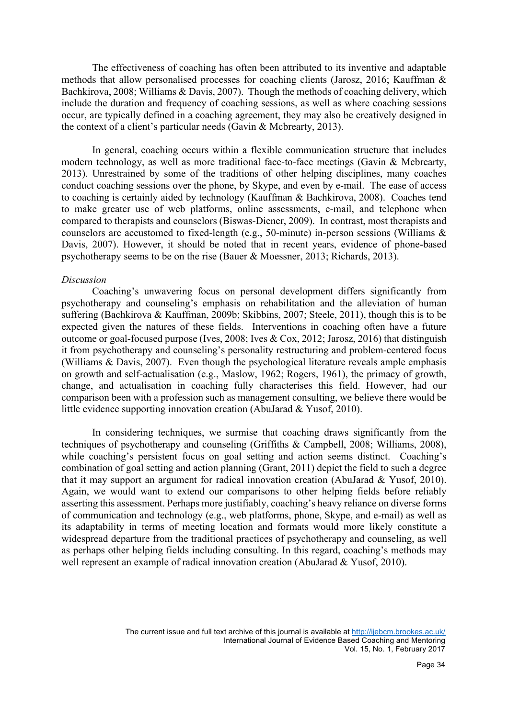The effectiveness of coaching has often been attributed to its inventive and adaptable methods that allow personalised processes for coaching clients (Jarosz, 2016; Kauffman & Bachkirova, 2008; Williams & Davis, 2007). Though the methods of coaching delivery, which include the duration and frequency of coaching sessions, as well as where coaching sessions occur, are typically defined in a coaching agreement, they may also be creatively designed in the context of a client's particular needs (Gavin & Mcbrearty, 2013).

In general, coaching occurs within a flexible communication structure that includes modern technology, as well as more traditional face-to-face meetings (Gavin & Mcbrearty, 2013). Unrestrained by some of the traditions of other helping disciplines, many coaches conduct coaching sessions over the phone, by Skype, and even by e-mail. The ease of access to coaching is certainly aided by technology (Kauffman & Bachkirova, 2008). Coaches tend to make greater use of web platforms, online assessments, e-mail, and telephone when compared to therapists and counselors (Biswas-Diener, 2009). In contrast, most therapists and counselors are accustomed to fixed-length (e.g., 50-minute) in-person sessions (Williams & Davis, 2007). However, it should be noted that in recent years, evidence of phone-based psychotherapy seems to be on the rise (Bauer & Moessner, 2013; Richards, 2013).

#### *Discussion*

Coaching's unwavering focus on personal development differs significantly from psychotherapy and counseling's emphasis on rehabilitation and the alleviation of human suffering (Bachkirova & Kauffman, 2009b; Skibbins, 2007; Steele, 2011), though this is to be expected given the natures of these fields. Interventions in coaching often have a future outcome or goal-focused purpose (Ives, 2008; Ives & Cox, 2012; Jarosz, 2016) that distinguish it from psychotherapy and counseling's personality restructuring and problem-centered focus (Williams & Davis, 2007). Even though the psychological literature reveals ample emphasis on growth and self-actualisation (e.g., Maslow, 1962; Rogers, 1961), the primacy of growth, change, and actualisation in coaching fully characterises this field. However, had our comparison been with a profession such as management consulting, we believe there would be little evidence supporting innovation creation (AbuJarad & Yusof, 2010).

In considering techniques, we surmise that coaching draws significantly from the techniques of psychotherapy and counseling (Griffiths & Campbell, 2008; Williams, 2008), while coaching's persistent focus on goal setting and action seems distinct. Coaching's combination of goal setting and action planning (Grant, 2011) depict the field to such a degree that it may support an argument for radical innovation creation (AbuJarad & Yusof, 2010). Again, we would want to extend our comparisons to other helping fields before reliably asserting this assessment. Perhaps more justifiably, coaching's heavy reliance on diverse forms of communication and technology (e.g., web platforms, phone, Skype, and e-mail) as well as its adaptability in terms of meeting location and formats would more likely constitute a widespread departure from the traditional practices of psychotherapy and counseling, as well as perhaps other helping fields including consulting. In this regard, coaching's methods may well represent an example of radical innovation creation (AbuJarad & Yusof, 2010).

> The current issue and full text archive of this journal is available at http://ijebcm.brookes.ac.uk/ International Journal of Evidence Based Coaching and Mentoring Vol. 15, No. 1, February 2017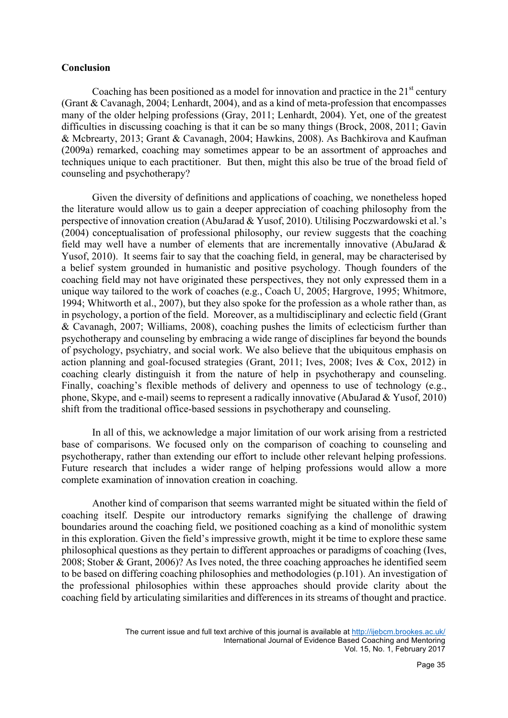## **Conclusion**

Coaching has been positioned as a model for innovation and practice in the  $21<sup>st</sup>$  century (Grant & Cavanagh, 2004; Lenhardt, 2004), and as a kind of meta-profession that encompasses many of the older helping professions (Gray, 2011; Lenhardt, 2004). Yet, one of the greatest difficulties in discussing coaching is that it can be so many things (Brock, 2008, 2011; Gavin & Mcbrearty, 2013; Grant & Cavanagh, 2004; Hawkins, 2008). As Bachkirova and Kaufman (2009a) remarked, coaching may sometimes appear to be an assortment of approaches and techniques unique to each practitioner. But then, might this also be true of the broad field of counseling and psychotherapy?

Given the diversity of definitions and applications of coaching, we nonetheless hoped the literature would allow us to gain a deeper appreciation of coaching philosophy from the perspective of innovation creation (AbuJarad & Yusof, 2010). Utilising Poczwardowski et al.'s (2004) conceptualisation of professional philosophy, our review suggests that the coaching field may well have a number of elements that are incrementally innovative (AbuJarad  $\&$ Yusof, 2010). It seems fair to say that the coaching field, in general, may be characterised by a belief system grounded in humanistic and positive psychology. Though founders of the coaching field may not have originated these perspectives, they not only expressed them in a unique way tailored to the work of coaches (e.g., Coach U, 2005; Hargrove, 1995; Whitmore, 1994; Whitworth et al., 2007), but they also spoke for the profession as a whole rather than, as in psychology, a portion of the field. Moreover, as a multidisciplinary and eclectic field (Grant & Cavanagh, 2007; Williams, 2008), coaching pushes the limits of eclecticism further than psychotherapy and counseling by embracing a wide range of disciplines far beyond the bounds of psychology, psychiatry, and social work. We also believe that the ubiquitous emphasis on action planning and goal-focused strategies (Grant, 2011; Ives, 2008; Ives & Cox, 2012) in coaching clearly distinguish it from the nature of help in psychotherapy and counseling. Finally, coaching's flexible methods of delivery and openness to use of technology (e.g., phone, Skype, and e-mail) seems to represent a radically innovative (AbuJarad & Yusof, 2010) shift from the traditional office-based sessions in psychotherapy and counseling.

In all of this, we acknowledge a major limitation of our work arising from a restricted base of comparisons. We focused only on the comparison of coaching to counseling and psychotherapy, rather than extending our effort to include other relevant helping professions. Future research that includes a wider range of helping professions would allow a more complete examination of innovation creation in coaching.

Another kind of comparison that seems warranted might be situated within the field of coaching itself. Despite our introductory remarks signifying the challenge of drawing boundaries around the coaching field, we positioned coaching as a kind of monolithic system in this exploration. Given the field's impressive growth, might it be time to explore these same philosophical questions as they pertain to different approaches or paradigms of coaching (Ives, 2008; Stober & Grant, 2006)? As Ives noted, the three coaching approaches he identified seem to be based on differing coaching philosophies and methodologies (p.101). An investigation of the professional philosophies within these approaches should provide clarity about the coaching field by articulating similarities and differences in its streams of thought and practice.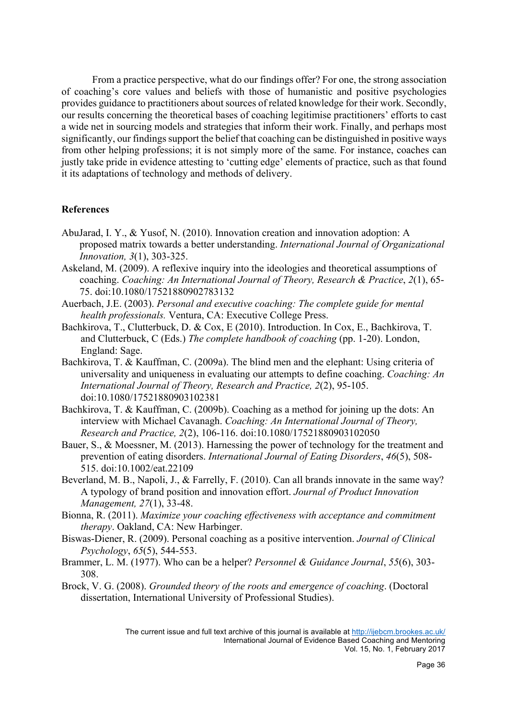From a practice perspective, what do our findings offer? For one, the strong association of coaching's core values and beliefs with those of humanistic and positive psychologies provides guidance to practitioners about sources of related knowledge for their work. Secondly, our results concerning the theoretical bases of coaching legitimise practitioners' efforts to cast a wide net in sourcing models and strategies that inform their work. Finally, and perhaps most significantly, our findingssupport the belief that coaching can be distinguished in positive ways from other helping professions; it is not simply more of the same. For instance, coaches can justly take pride in evidence attesting to 'cutting edge' elements of practice, such as that found it its adaptations of technology and methods of delivery.

# **References**

- AbuJarad, I. Y., & Yusof, N. (2010). Innovation creation and innovation adoption: A proposed matrix towards a better understanding. *International Journal of Organizational Innovation, 3*(1), 303-325.
- Askeland, M. (2009). A reflexive inquiry into the ideologies and theoretical assumptions of coaching. *Coaching: An International Journal of Theory, Research & Practice*, *2*(1), 65- 75. doi:10.1080/17521880902783132
- Auerbach, J.E. (2003). *Personal and executive coaching: The complete guide for mental health professionals.* Ventura, CA: Executive College Press.
- Bachkirova, T., Clutterbuck, D. & Cox, E (2010). Introduction. In Cox, E., Bachkirova, T. and Clutterbuck, C (Eds.) *The complete handbook of coaching* (pp. 1-20). London, England: Sage.
- Bachkirova, T. & Kauffman, C. (2009a). The blind men and the elephant: Using criteria of universality and uniqueness in evaluating our attempts to define coaching. *Coaching: An International Journal of Theory, Research and Practice, 2*(2), 95-105. doi:10.1080/17521880903102381
- Bachkirova, T. & Kauffman, C. (2009b). Coaching as a method for joining up the dots: An interview with Michael Cavanagh. *Coaching: An International Journal of Theory, Research and Practice, 2*(2), 106-116. doi:10.1080/17521880903102050
- Bauer, S., & Moessner, M. (2013). Harnessing the power of technology for the treatment and prevention of eating disorders. *International Journal of Eating Disorders*, *46*(5), 508- 515. doi:10.1002/eat.22109
- Beverland, M. B., Napoli, J., & Farrelly, F. (2010). Can all brands innovate in the same way? A typology of brand position and innovation effort. *Journal of Product Innovation Management, 27*(1), 33-48.
- Bionna, R. (2011). *Maximize your coaching effectiveness with acceptance and commitment therapy*. Oakland, CA: New Harbinger.
- Biswas-Diener, R. (2009). Personal coaching as a positive intervention. *Journal of Clinical Psychology*, *65*(5), 544-553.
- Brammer, L. M. (1977). Who can be a helper? *Personnel & Guidance Journal*, *55*(6), 303- 308.
- Brock, V. G. (2008). *Grounded theory of the roots and emergence of coaching*. (Doctoral dissertation, International University of Professional Studies).

The current issue and full text archive of this journal is available at http://ijebcm.brookes.ac.uk/ International Journal of Evidence Based Coaching and Mentoring Vol. 15, No. 1, February 2017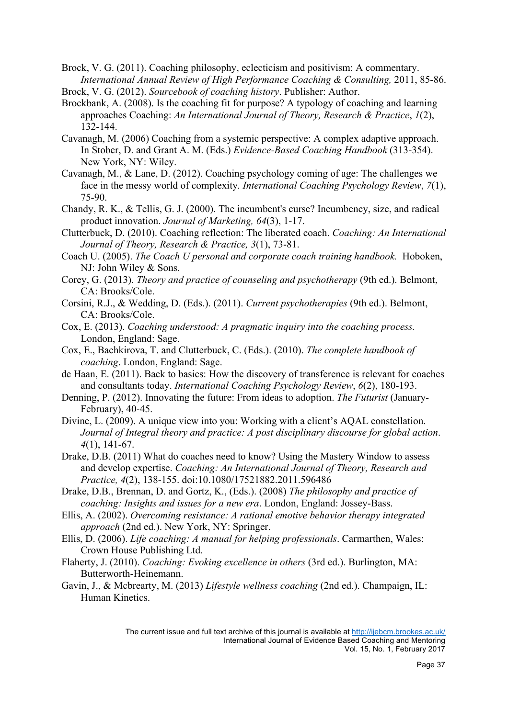Brock, V. G. (2011). Coaching philosophy, eclecticism and positivism: A commentary. *International Annual Review of High Performance Coaching & Consulting,* 2011, 85-86.

Brock, V. G. (2012). *Sourcebook of coaching history*. Publisher: Author.

- Brockbank, A. (2008). Is the coaching fit for purpose? A typology of coaching and learning approaches Coaching: *An International Journal of Theory, Research & Practice*, *1*(2), 132-144.
- Cavanagh, M. (2006) Coaching from a systemic perspective: A complex adaptive approach. In Stober, D. and Grant A. M. (Eds.) *Evidence-Based Coaching Handbook* (313-354). New York, NY: Wiley.
- Cavanagh, M., & Lane, D. (2012). Coaching psychology coming of age: The challenges we face in the messy world of complexity*. International Coaching Psychology Review*, *7*(1), 75-90.
- Chandy, R. K., & Tellis, G. J. (2000). The incumbent's curse? Incumbency, size, and radical product innovation. *Journal of Marketing, 64*(3), 1-17.
- Clutterbuck, D. (2010). Coaching reflection: The liberated coach. *Coaching: An International Journal of Theory, Research & Practice, 3*(1), 73-81.
- Coach U. (2005). *The Coach U personal and corporate coach training handbook.* Hoboken, NJ: John Wiley & Sons.
- Corey, G. (2013). *Theory and practice of counseling and psychotherapy* (9th ed.). Belmont, CA: Brooks/Cole.
- Corsini, R.J., & Wedding, D. (Eds.). (2011). *Current psychotherapies* (9th ed.). Belmont, CA: Brooks/Cole.
- Cox, E. (2013). *Coaching understood: A pragmatic inquiry into the coaching process.* London, England: Sage.
- Cox, E., Bachkirova, T. and Clutterbuck, C. (Eds.). (2010). *The complete handbook of coaching*. London, England: Sage.
- de Haan, E. (2011). Back to basics: How the discovery of transference is relevant for coaches and consultants today. *International Coaching Psychology Review*, *6*(2), 180-193.
- Denning, P. (2012). Innovating the future: From ideas to adoption. *The Futurist* (January-February), 40-45.
- Divine, L. (2009). A unique view into you: Working with a client's AQAL constellation. *Journal of Integral theory and practice: A post disciplinary discourse for global action*. *4*(1), 141-67.
- Drake, D.B. (2011) What do coaches need to know? Using the Mastery Window to assess and develop expertise. *Coaching: An International Journal of Theory, Research and Practice, 4*(2), 138-155. doi:10.1080/17521882.2011.596486
- Drake, D.B., Brennan, D. and Gortz, K., (Eds.). (2008) *The philosophy and practice of coaching: Insights and issues for a new era*. London, England: Jossey-Bass.
- Ellis, A. (2002). *Overcoming resistance: A rational emotive behavior therapy integrated approach* (2nd ed.). New York, NY: Springer.
- Ellis, D. (2006). *Life coaching: A manual for helping professionals*. Carmarthen, Wales: Crown House Publishing Ltd.
- Flaherty, J. (2010). *Coaching: Evoking excellence in others* (3rd ed.). Burlington, MA: Butterworth-Heinemann.
- Gavin, J., & Mcbrearty, M. (2013) *Lifestyle wellness coaching* (2nd ed.). Champaign, IL: Human Kinetics.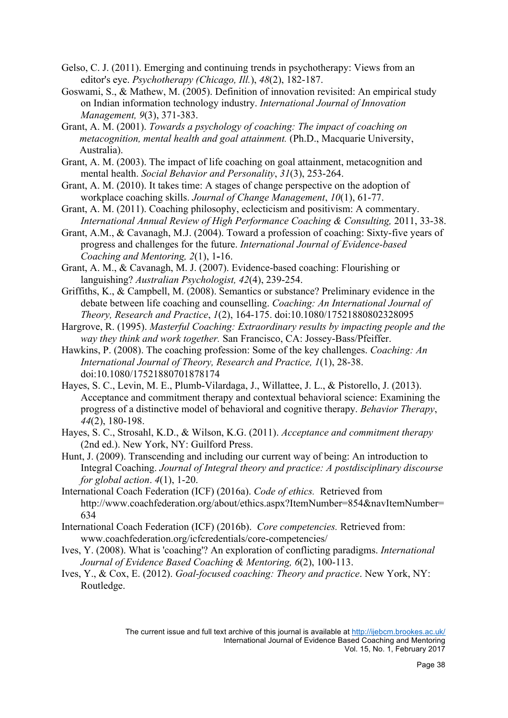- Gelso, C. J. (2011). Emerging and continuing trends in psychotherapy: Views from an editor's eye. *Psychotherapy (Chicago, Ill.*), *48*(2), 182-187.
- Goswami, S., & Mathew, M. (2005). Definition of innovation revisited: An empirical study on Indian information technology industry. *International Journal of Innovation Management, 9*(3), 371-383.
- Grant, A. M. (2001). *Towards a psychology of coaching: The impact of coaching on metacognition, mental health and goal attainment.* (Ph.D., Macquarie University, Australia).
- Grant, A. M. (2003). The impact of life coaching on goal attainment, metacognition and mental health. *Social Behavior and Personality*, *31*(3), 253-264.
- Grant, A. M. (2010). It takes time: A stages of change perspective on the adoption of workplace coaching skills. *Journal of Change Management*, *10*(1), 61-77.
- Grant, A. M. (2011). Coaching philosophy, eclecticism and positivism: A commentary. *International Annual Review of High Performance Coaching & Consulting,* 2011, 33-38.
- Grant, A.M., & Cavanagh, M.J. (2004). Toward a profession of coaching: Sixty-five years of progress and challenges for the future. *International Journal of Evidence-based Coaching and Mentoring, 2*(1), 1**-**16.
- Grant, A. M., & Cavanagh, M. J. (2007). Evidence-based coaching: Flourishing or languishing? *Australian Psychologist, 42*(4), 239-254.
- Griffiths, K., & Campbell, M. (2008). Semantics or substance? Preliminary evidence in the debate between life coaching and counselling. *Coaching: An International Journal of Theory, Research and Practice*, *1*(2), 164-175. doi:10.1080/17521880802328095
- Hargrove, R. (1995). *Masterful Coaching: Extraordinary results by impacting people and the way they think and work together.* San Francisco, CA: Jossey-Bass/Pfeiffer.
- Hawkins, P. (2008). The coaching profession: Some of the key challenges. *Coaching: An International Journal of Theory, Research and Practice, 1*(1), 28-38. doi:10.1080/17521880701878174
- Hayes, S. C., Levin, M. E., Plumb-Vilardaga, J., Willattee, J. L., & Pistorello, J. (2013). Acceptance and commitment therapy and contextual behavioral science: Examining the progress of a distinctive model of behavioral and cognitive therapy. *Behavior Therapy*, *44*(2), 180-198.
- Hayes, S. C., Strosahl, K.D., & Wilson, K.G. (2011). *Acceptance and commitment therapy* (2nd ed.). New York, NY: Guilford Press.
- Hunt, J. (2009). Transcending and including our current way of being: An introduction to Integral Coaching. *Journal of Integral theory and practice: A postdisciplinary discourse for global action*. *4*(1), 1-20.
- International Coach Federation (ICF) (2016a). *Code of ethics.* Retrieved from http://www.coachfederation.org/about/ethics.aspx?ItemNumber=854&navItemNumber= 634
- International Coach Federation (ICF) (2016b). *Core competencies.* Retrieved from: www.coachfederation.org/icfcredentials/core-competencies/
- Ives, Y. (2008). What is 'coaching'? An exploration of conflicting paradigms. *International Journal of Evidence Based Coaching & Mentoring, 6*(2), 100-113.
- Ives, Y., & Cox, E. (2012). *Goal-focused coaching: Theory and practice*. New York, NY: Routledge.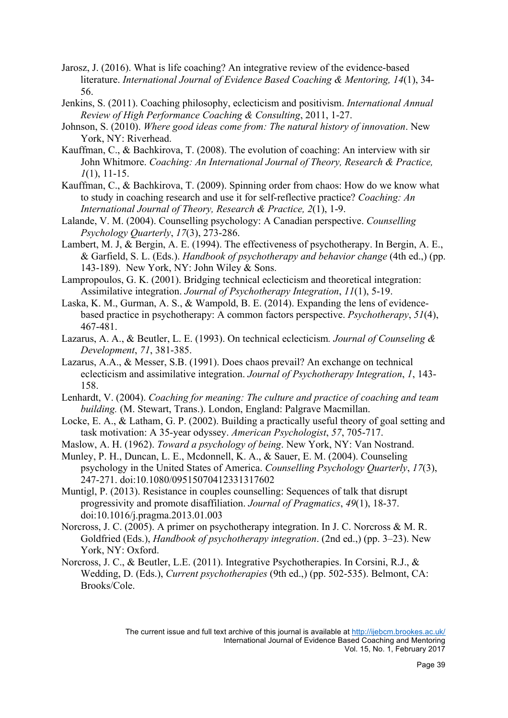- Jarosz, J. (2016). What is life coaching? An integrative review of the evidence-based literature. *International Journal of Evidence Based Coaching & Mentoring, 14*(1), 34- 56.
- Jenkins, S. (2011). Coaching philosophy, eclecticism and positivism. *International Annual Review of High Performance Coaching & Consulting*, 2011, 1-27.
- Johnson, S. (2010). *Where good ideas come from: The natural history of innovation*. New York, NY: Riverhead.
- Kauffman, C., & Bachkirova, T. (2008). The evolution of coaching: An interview with sir John Whitmore. *Coaching: An International Journal of Theory, Research & Practice, 1*(1), 11-15.
- Kauffman, C., & Bachkirova, T. (2009). Spinning order from chaos: How do we know what to study in coaching research and use it for self-reflective practice? *Coaching: An International Journal of Theory, Research & Practice, 2*(1), 1-9.
- Lalande, V. M. (2004). Counselling psychology: A Canadian perspective. *Counselling Psychology Quarterly*, *17*(3), 273-286.
- Lambert, M. J, & Bergin, A. E. (1994). The effectiveness of psychotherapy. In Bergin, A. E., & Garfield, S. L. (Eds.). *Handbook of psychotherapy and behavior change* (4th ed.,) (pp. 143-189). New York, NY: John Wiley & Sons.
- Lampropoulos, G. K. (2001). Bridging technical eclecticism and theoretical integration: Assimilative integration. *Journal of Psychotherapy Integration*, *11*(1), 5-19.
- Laska, K. M., Gurman, A. S., & Wampold, B. E. (2014). Expanding the lens of evidencebased practice in psychotherapy: A common factors perspective. *Psychotherapy*, *51*(4), 467-481.
- Lazarus, A. A., & Beutler, L. E. (1993). On technical eclecticism*. Journal of Counseling & Development*, *71*, 381-385.
- Lazarus, A.A., & Messer, S.B. (1991). Does chaos prevail? An exchange on technical eclecticism and assimilative integration. *Journal of Psychotherapy Integration*, *1*, 143- 158.
- Lenhardt, V. (2004). *Coaching for meaning: The culture and practice of coaching and team building.* (M. Stewart, Trans.). London, England: Palgrave Macmillan.
- Locke, E. A., & Latham, G. P. (2002). Building a practically useful theory of goal setting and task motivation: A 35-year odyssey. *American Psychologist*, *57*, 705-717.
- Maslow, A. H. (1962). *Toward a psychology of being*. New York, NY: Van Nostrand.
- Munley, P. H., Duncan, L. E., Mcdonnell, K. A., & Sauer, E. M. (2004). Counseling psychology in the United States of America. *Counselling Psychology Quarterly*, *17*(3), 247-271. doi:10.1080/09515070412331317602
- Muntigl, P. (2013). Resistance in couples counselling: Sequences of talk that disrupt progressivity and promote disaffiliation. *Journal of Pragmatics*, *49*(1), 18-37. doi:10.1016/j.pragma.2013.01.003
- Norcross, J. C. (2005). A primer on psychotherapy integration. In J. C. Norcross & M. R. Goldfried (Eds.), *Handbook of psychotherapy integration*. (2nd ed.,) (pp. 3–23). New York, NY: Oxford.
- Norcross, J. C., & Beutler, L.E. (2011). Integrative Psychotherapies. In Corsini, R.J., & Wedding, D. (Eds.), *Current psychotherapies* (9th ed.,) (pp. 502-535). Belmont, CA: Brooks/Cole.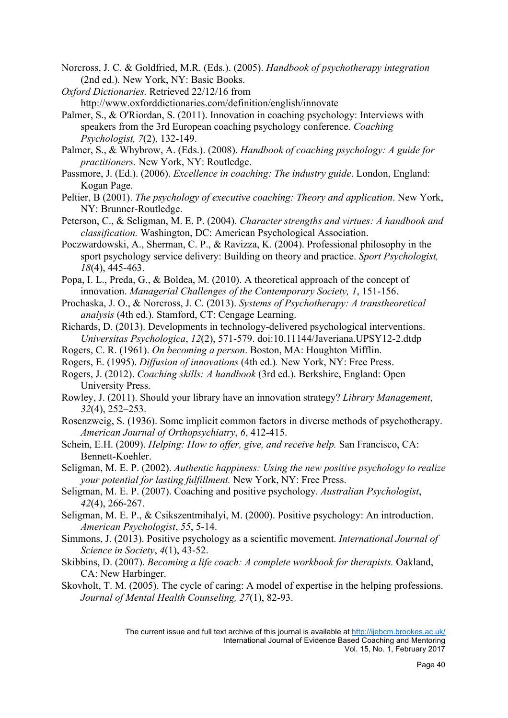Norcross, J. C. & Goldfried, M.R. (Eds.). (2005). *Handbook of psychotherapy integration*  (2nd ed.)*.* New York, NY: Basic Books.

*Oxford Dictionaries.* Retrieved 22/12/16 from

http://www.oxforddictionaries.com/definition/english/innovate

- Palmer, S., & O'Riordan, S. (2011). Innovation in coaching psychology: Interviews with speakers from the 3rd European coaching psychology conference. *Coaching Psychologist, 7*(2), 132-149.
- Palmer, S., & Whybrow, A. (Eds.). (2008). *Handbook of coaching psychology: A guide for practitioners.* New York, NY: Routledge.
- Passmore, J. (Ed.). (2006). *Excellence in coaching: The industry guide*. London, England: Kogan Page.
- Peltier, B (2001). *The psychology of executive coaching: Theory and application*. New York, NY: Brunner-Routledge.
- Peterson, C., & Seligman, M. E. P. (2004). *Character strengths and virtues: A handbook and classification.* Washington, DC: American Psychological Association.
- Poczwardowski, A., Sherman, C. P., & Ravizza, K. (2004). Professional philosophy in the sport psychology service delivery: Building on theory and practice. *Sport Psychologist, 18*(4), 445-463.
- Popa, I. L., Preda, G., & Boldea, M. (2010). A theoretical approach of the concept of innovation. *Managerial Challenges of the Contemporary Society, 1*, 151-156.
- Prochaska, J. O., & Norcross, J. C. (2013). *Systems of Psychotherapy: A transtheoretical analysis* (4th ed.). Stamford, CT: Cengage Learning.
- Richards, D. (2013). Developments in technology-delivered psychological interventions. *Universitas Psychologica*, *12*(2), 571-579. doi:10.11144/Javeriana.UPSY12-2.dtdp
- Rogers, C. R. (1961). *On becoming a person*. Boston, MA: Houghton Mifflin.
- Rogers, E. (1995). *Diffusion of innovations* (4th ed.)*.* New York, NY: Free Press.
- Rogers, J. (2012). *Coaching skills: A handbook* (3rd ed.). Berkshire, England: Open University Press.
- Rowley, J. (2011). Should your library have an innovation strategy? *Library Management*, *32*(4), 252–253.
- Rosenzweig, S. (1936). Some implicit common factors in diverse methods of psychotherapy. *American Journal of Orthopsychiatry*, *6*, 412-415.
- Schein, E.H. (2009). *Helping: How to offer, give, and receive help.* San Francisco, CA: Bennett-Koehler.
- Seligman, M. E. P. (2002). *Authentic happiness: Using the new positive psychology to realize your potential for lasting fulfillment.* New York, NY: Free Press.
- Seligman, M. E. P. (2007). Coaching and positive psychology. *Australian Psychologist*, *42*(4), 266-267.
- Seligman, M. E. P., & Csikszentmihalyi, M. (2000). Positive psychology: An introduction. *American Psychologist*, *55*, 5-14.
- Simmons, J. (2013). Positive psychology as a scientific movement. *International Journal of Science in Society*, *4*(1), 43-52.
- Skibbins, D. (2007). *Becoming a life coach: A complete workbook for therapists.* Oakland, CA: New Harbinger.
- Skovholt, T. M. (2005). The cycle of caring: A model of expertise in the helping professions. *Journal of Mental Health Counseling, 27*(1), 82-93.